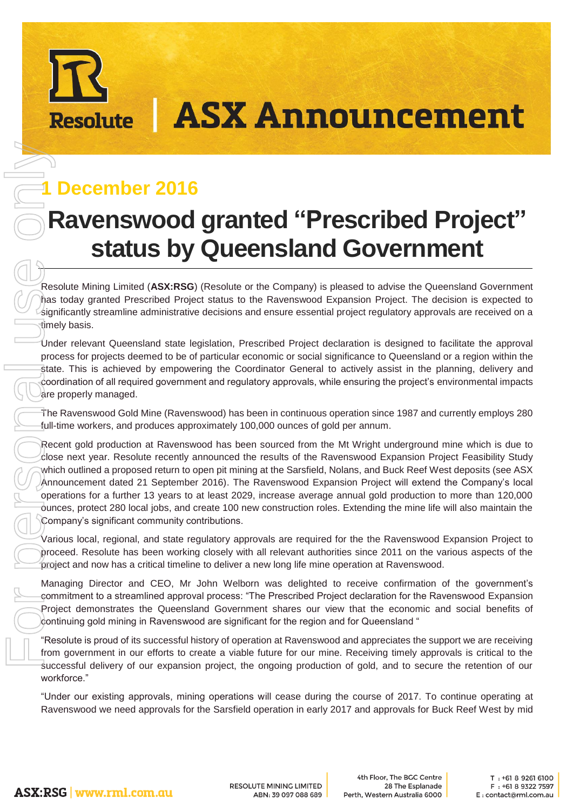# **ASX Announcement**

## **1 December 2016**

**Resolute** 

# **Ravenswood granted "Prescribed Project" status by Queensland Government**

Resolute Mining Limited (**ASX:RSG**) (Resolute or the Company) is pleased to advise the Queensland Government has today granted Prescribed Project status to the Ravenswood Expansion Project. The decision is expected to significantly streamline administrative decisions and ensure essential project regulatory approvals are received on a timely basis.

Under relevant Queensland state legislation, Prescribed Project declaration is designed to facilitate the approval process for projects deemed to be of particular economic or social significance to Queensland or a region within the state. This is achieved by empowering the Coordinator General to actively assist in the planning, delivery and coordination of all required government and regulatory approvals, while ensuring the project's environmental impacts are properly managed.

The Ravenswood Gold Mine (Ravenswood) has been in continuous operation since 1987 and currently employs 280 full-time workers, and produces approximately 100,000 ounces of gold per annum.

Recent gold production at Ravenswood has been sourced from the Mt Wright underground mine which is due to close next year. Resolute recently announced the results of the Ravenswood Expansion Project Feasibility Study which outlined a proposed return to open pit mining at the Sarsfield, Nolans, and Buck Reef West deposits (see ASX Announcement dated 21 September 2016). The Ravenswood Expansion Project will extend the Company's local operations for a further 13 years to at least 2029, increase average annual gold production to more than 120,000 ounces, protect 280 local jobs, and create 100 new construction roles. Extending the mine life will also maintain the Company's significant community contributions. **Ravenswood has ten company is pleased on a set the Sarsfield operation in each company is a set to the Sarsfield operation in each company is a set to the Sarsfield operation in each company is pleased to active the Sars** 

Various local, regional, and state regulatory approvals are required for the the Ravenswood Expansion Project to proceed. Resolute has been working closely with all relevant authorities since 2011 on the various aspects of the project and now has a critical timeline to deliver a new long life mine operation at Ravenswood.

Managing Director and CEO, Mr John Welborn was delighted to receive confirmation of the government's commitment to a streamlined approval process: "The Prescribed Project declaration for the Ravenswood Expansion Project demonstrates the Queensland Government shares our view that the economic and social benefits of  $c$  dontinuing gold mining in Ravenswood are significant for the region and for Queensland "

"Resolute is proud of its successful history of operation at Ravenswood and appreciates the support we are receiving from government in our efforts to create a viable future for our mine. Receiving timely approvals is critical to the successful delivery of our expansion project, the ongoing production of gold, and to secure the retention of our workforce."

"Under our existing approvals, mining operations will cease during the course of 2017. To continue operating at